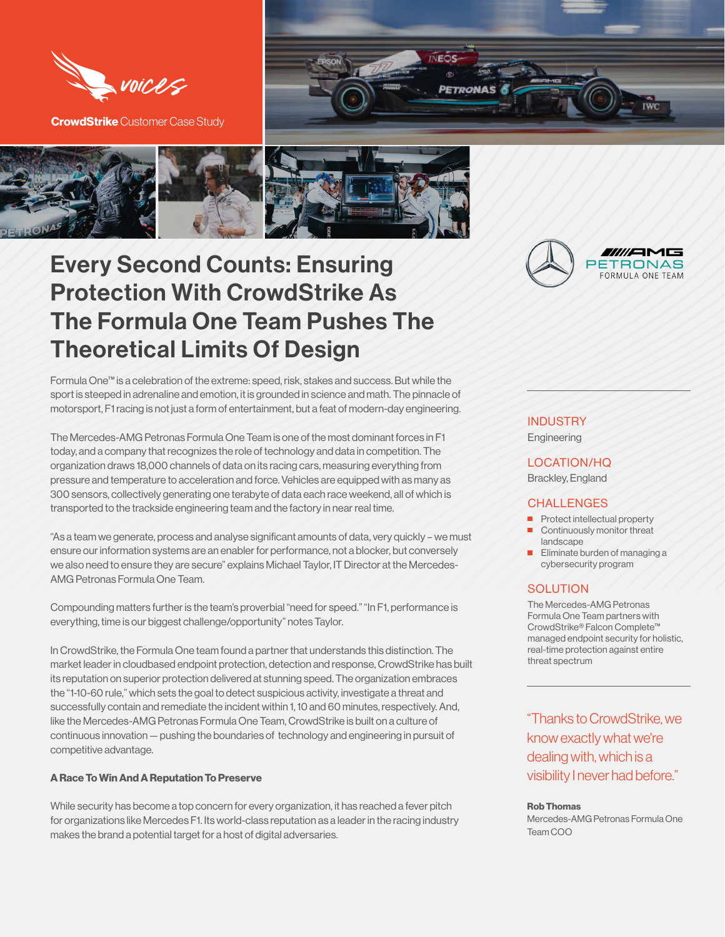

**CrowdStrike** Customer Case Study





# Every Second Counts: Ensuring Protection With CrowdStrike As The Formula One Team Pushes The Theoretical Limits Of Design

Formula One™ is a celebration of the extreme: speed, risk, stakes and success. But while the sport is steeped in adrenaline and emotion, it is grounded in science and math. The pinnacle of motorsport, F1 racing is not just a form of entertainment, but a feat of modern-day engineering.

The Mercedes-AMG Petronas Formula One Team is one of the most dominant forces in F1 today, and a company that recognizes the role of technology and data in competition. The organization draws 18,000 channels of data on its racing cars, measuring everything from pressure and temperature to acceleration and force. Vehicles are equipped with as many as 300 sensors, collectively generating one terabyte of data each race weekend, all of which is transported to the trackside engineering team and the factory in near real time.

"As a team we generate, process and analyse significant amounts of data, very quickly – we must ensure our information systems are an enabler for performance, not a blocker, but conversely we also need to ensure they are secure" explains Michael Taylor, IT Director at the Mercedes-AMG Petronas Formula One Team.

Compounding matters further is the team's proverbial "need for speed." "In F1, performance is everything, time is our biggest challenge/opportunity" notes Taylor.

In CrowdStrike, the Formula One team found a partner that understands this distinction. The market leader in cloudbased endpoint protection, detection and response, CrowdStrike has built its reputation on superior protection delivered at stunning speed. The organization embraces the "1-10-60 rule," which sets the goal to detect suspicious activity, investigate a threat and successfully contain and remediate the incident within 1, 10 and 60 minutes, respectively. And, like the Mercedes-AMG Petronas Formula One Team, CrowdStrike is built on a culture of continuous innovation — pushing the boundaries of technology and engineering in pursuit of competitive advantage.

### **A Race To Win And A Reputation To Preserve**

While security has become a top concern for every organization, it has reached a fever pitch for organizations like Mercedes F1. Its world-class reputation as a leader in the racing industry makes the brand a potential target for a host of digital adversaries.



# **INDUSTRY**

**Engineering** 

# LOCATION/HQ

Brackley, England

# **CHALLENGES**

- Protect intellectual property Continuously monitor threat landscape
- Eliminate burden of managing a cybersecurity program

### **SOLUTION**

The Mercedes-AMG Petronas Formula One Team partners with CrowdStrike® Falcon Complete™ managed endpoint security for holistic, real-time protection against entire threat spectrum

"Thanks to CrowdStrike, we know exactly what we're dealing with, which is a visibility I never had before."

#### **Rob Thomas**

Mercedes-AMG Petronas Formula One Team COO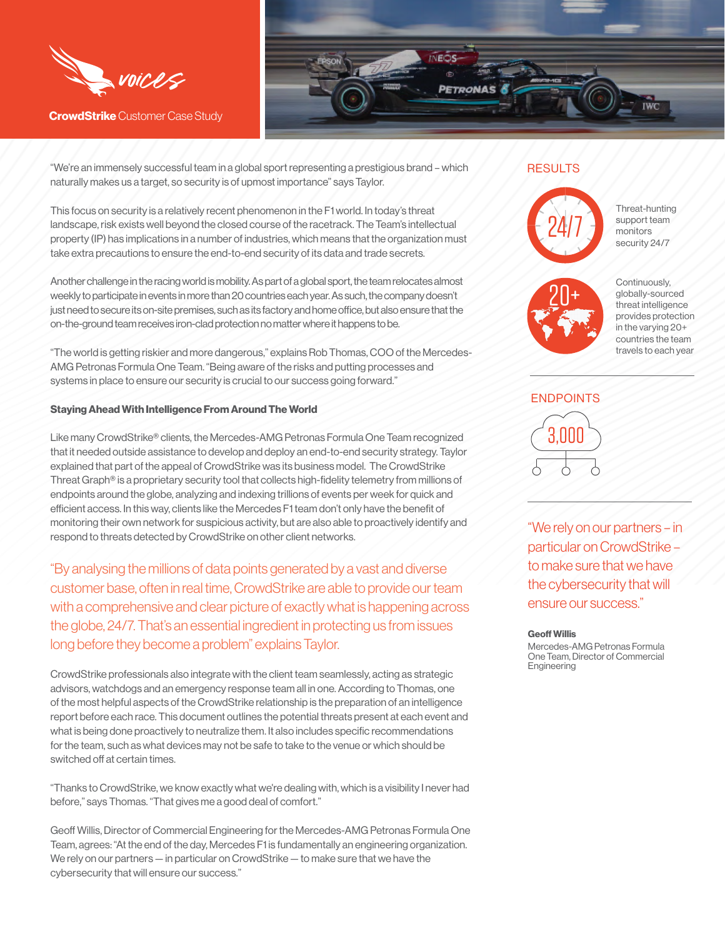

**CrowdStrike** Customer Case Study



"We're an immensely successful team in a global sport representing a prestigious brand – which naturally makes us a target, so security is of upmost importance" says Taylor.

This focus on security is a relatively recent phenomenon in the F1 world. In today's threat landscape, risk exists well beyond the closed course of the racetrack. The Team's intellectual property (IP) has implications in a number of industries, which means that the organization must take extra precautions to ensure the end-to-end security of its data and trade secrets.

Another challenge in the racing world is mobility. As part of a global sport, the team relocates almost weekly to participate in events in more than 20 countries each year. As such, the company doesn't just need to secure its on-site premises, such as its factory and home office, but also ensure that the on-the-ground team receives iron-clad protection no matter where it happens to be.

"The world is getting riskier and more dangerous," explains Rob Thomas, COO of the Mercedes-AMG Petronas Formula One Team. "Being aware of the risks and putting processes and systems in place to ensure our security is crucial to our success going forward."

#### **Staying Ahead With Intelligence From Around The World**

Like many CrowdStrike® clients, the Mercedes-AMG Petronas Formula One Team recognized that it needed outside assistance to develop and deploy an end-to-end security strategy. Taylor explained that part of the appeal of CrowdStrike was its business model. The CrowdStrike Threat Graph® is a proprietary security tool that collects high-fidelity telemetry from millions of endpoints around the globe, analyzing and indexing trillions of events per week for quick and efficient access. In this way, clients like the Mercedes F1 team don't only have the benefit of monitoring their own network for suspicious activity, but are also able to proactively identify and respond to threats detected by CrowdStrike on other client networks.

"By analysing the millions of data points generated by a vast and diverse customer base, often in real time, CrowdStrike are able to provide our team with a comprehensive and clear picture of exactly what is happening across the globe, 24/7. That's an essential ingredient in protecting us from issues long before they become a problem" explains Taylor.

CrowdStrike professionals also integrate with the client team seamlessly, acting as strategic advisors, watchdogs and an emergency response team all in one. According to Thomas, one of the most helpful aspects of the CrowdStrike relationship is the preparation of an intelligence report before each race. This document outlines the potential threats present at each event and what is being done proactively to neutralize them. It also includes specific recommendations for the team, such as what devices may not be safe to take to the venue or which should be switched off at certain times.

"Thanks to CrowdStrike, we know exactly what we're dealing with, which is a visibility I never had before," says Thomas. "That gives me a good deal of comfort."

Geoff Willis, Director of Commercial Engineering for the Mercedes-AMG Petronas Formula One Team, agrees: "At the end of the day, Mercedes F1 is fundamentally an engineering organization. We rely on our partners — in particular on CrowdStrike — to make sure that we have the cybersecurity that will ensure our success."

## RESULTS



Threat-hunting support team monitors security 24/7



Continuously, globally-sourced threat intelligence provides protection in the varying 20+ countries the team travels to each year



"We rely on our partners – in particular on CrowdStrike – to make sure that we have the cybersecurity that will ensure our success."

#### **Geoff Willis**

Mercedes-AMG Petronas Formula One Team, Director of Commercial Engineering